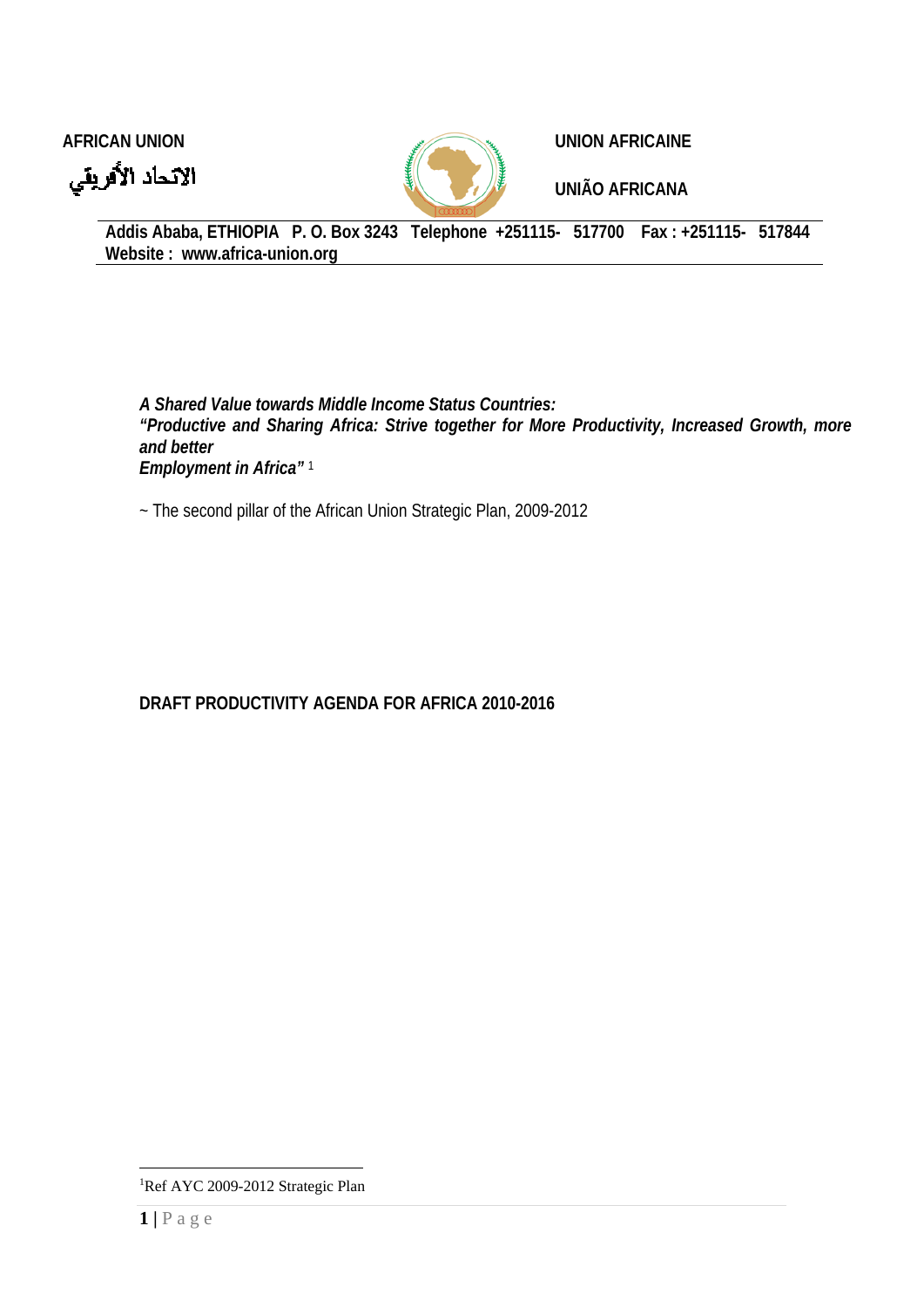



**AFRICAN UNION CONSUMING A REAL PROPERTY AND AFRICAINE** 

**UNIÃO AFRICANA** 

**Addis Ababa, ETHIOPIA P. O. Box 3243 Telephone +251115- 517700 Fax : +251115- 517844 Website : www.africa-union.org** 

*A Shared Value towards Middle Income Status Countries: "Productive and Sharing Africa: Strive together for More Productivity, Increased Growth, more and better Employment in Africa"* <sup>1</sup>

~ The second pillar of the African Union Strategic Plan, 2009-2012

**DRAFT PRODUCTIVITY AGENDA FOR AFRICA 2010-2016** 

 $\overline{a}$ 

<sup>&</sup>lt;sup>1</sup>Ref AYC 2009-2012 Strategic Plan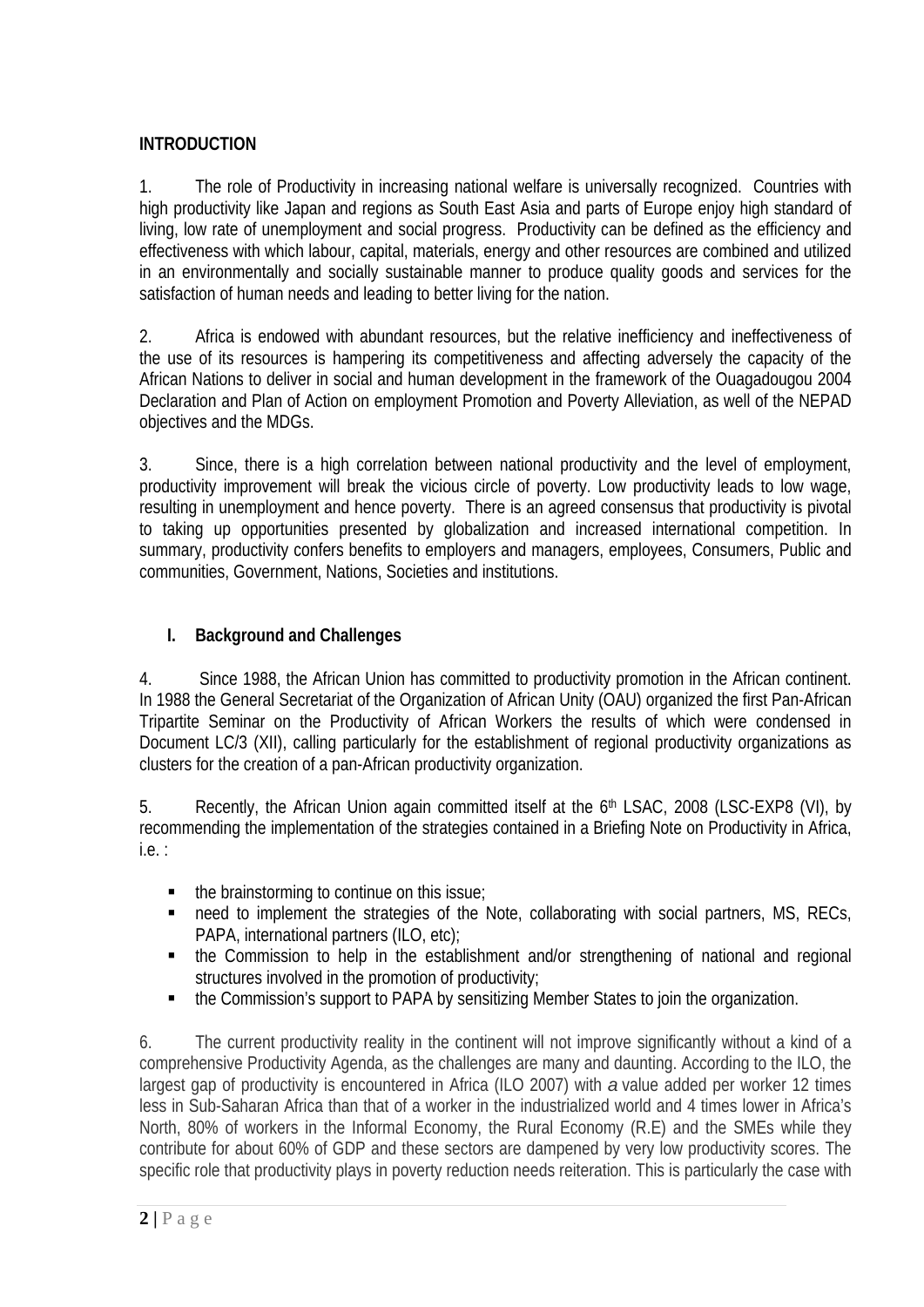# **INTRODUCTION**

1. The role of Productivity in increasing national welfare is universally recognized. Countries with high productivity like Japan and regions as South East Asia and parts of Europe enjoy high standard of living, low rate of unemployment and social progress. Productivity can be defined as the efficiency and effectiveness with which labour, capital, materials, energy and other resources are combined and utilized in an environmentally and socially sustainable manner to produce quality goods and services for the satisfaction of human needs and leading to better living for the nation.

2. Africa is endowed with abundant resources, but the relative inefficiency and ineffectiveness of the use of its resources is hampering its competitiveness and affecting adversely the capacity of the African Nations to deliver in social and human development in the framework of the Ouagadougou 2004 Declaration and Plan of Action on employment Promotion and Poverty Alleviation, as well of the NEPAD objectives and the MDGs.

3. Since, there is a high correlation between national productivity and the level of employment, productivity improvement will break the vicious circle of poverty. Low productivity leads to low wage, resulting in unemployment and hence poverty. There is an agreed consensus that productivity is pivotal to taking up opportunities presented by globalization and increased international competition. In summary, productivity confers benefits to employers and managers, employees, Consumers, Public and communities, Government, Nations, Societies and institutions.

# **I. Background and Challenges**

4. Since 1988, the African Union has committed to productivity promotion in the African continent. In 1988 the General Secretariat of the Organization of African Unity (OAU) organized the first Pan-African Tripartite Seminar on the Productivity of African Workers the results of which were condensed in Document LC/3 (XII), calling particularly for the establishment of regional productivity organizations as clusters for the creation of a pan-African productivity organization.

5. Recently, the African Union again committed itself at the 6<sup>th</sup> LSAC, 2008 (LSC-EXP8 (VI), by recommending the implementation of the strategies contained in a Briefing Note on Productivity in Africa, i.e. :

- $\blacksquare$  the brainstorming to continue on this issue;
- need to implement the strategies of the Note, collaborating with social partners, MS, RECs, PAPA, international partners (ILO, etc);
- the Commission to help in the establishment and/or strengthening of national and regional structures involved in the promotion of productivity;
- the Commission's support to PAPA by sensitizing Member States to join the organization.

6. The current productivity reality in the continent will not improve significantly without a kind of a comprehensive Productivity Agenda, as the challenges are many and daunting. According to the ILO, the largest gap of productivity is encountered in Africa (ILO 2007) with *a* value added per worker 12 times less in Sub-Saharan Africa than that of a worker in the industrialized world and 4 times lower in Africa's North, 80% of workers in the Informal Economy, the Rural Economy (R.E) and the SMEs while they contribute for about 60% of GDP and these sectors are dampened by very low productivity scores. The specific role that productivity plays in poverty reduction needs reiteration. This is particularly the case with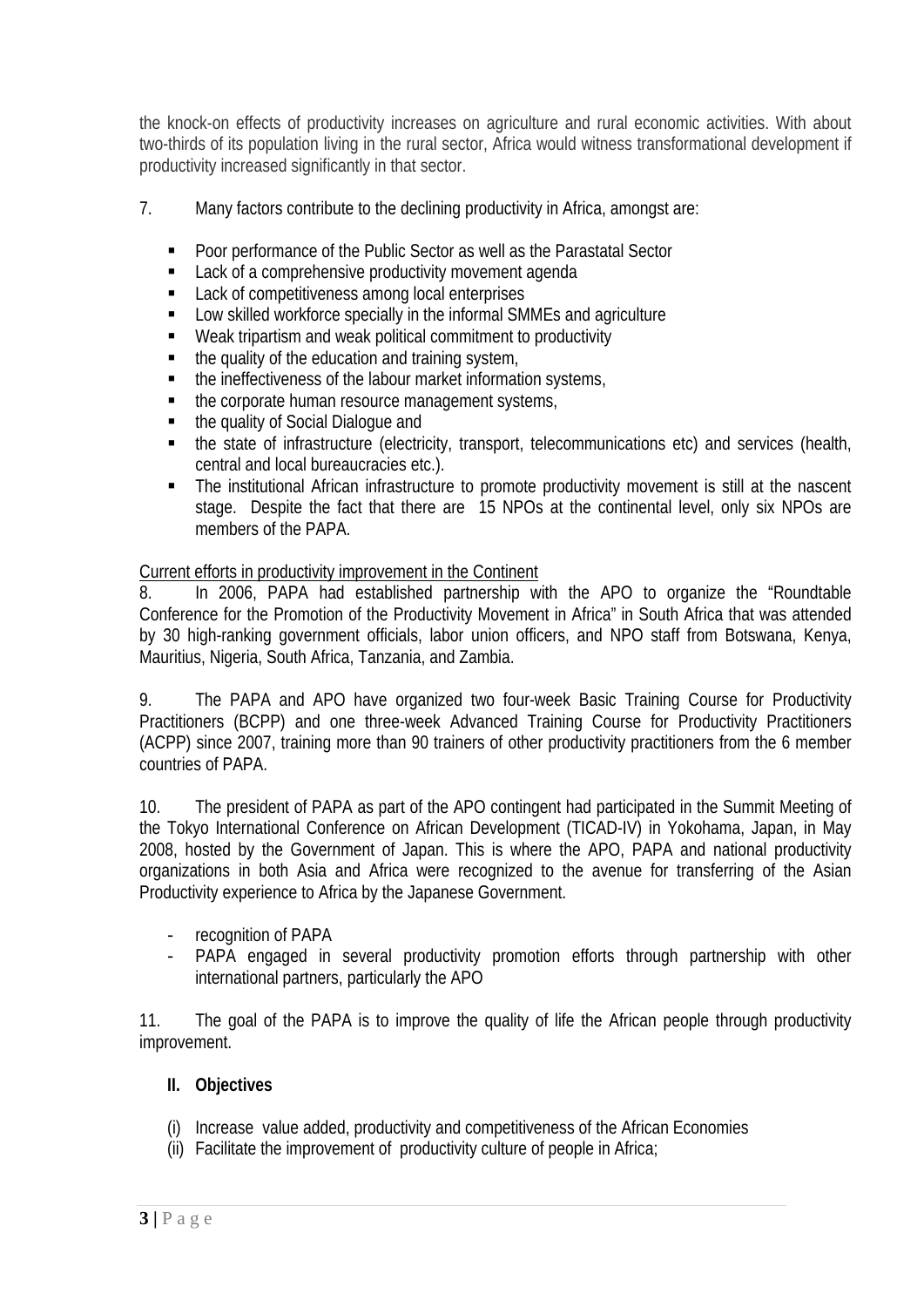the knock-on effects of productivity increases on agriculture and rural economic activities. With about two-thirds of its population living in the rural sector, Africa would witness transformational development if productivity increased significantly in that sector.

- 7. Many factors contribute to the declining productivity in Africa, amongst are:
	- Poor performance of the Public Sector as well as the Parastatal Sector
	- **EXECUTE:** Lack of a comprehensive productivity movement agenda
	- Lack of competitiveness among local enterprises
	- Low skilled workforce specially in the informal SMMEs and agriculture
	- Weak tripartism and weak political commitment to productivity
	- $\blacksquare$  the quality of the education and training system,
	- the ineffectiveness of the labour market information systems,
	- the corporate human resource management systems,
	- the quality of Social Dialogue and
	- the state of infrastructure (electricity, transport, telecommunications etc) and services (health, central and local bureaucracies etc.).
	- The institutional African infrastructure to promote productivity movement is still at the nascent stage. Despite the fact that there are 15 NPOs at the continental level, only six NPOs are members of the PAPA.

#### Current efforts in productivity improvement in the Continent

8. In 2006, PAPA had established partnership with the APO to organize the "Roundtable Conference for the Promotion of the Productivity Movement in Africa" in South Africa that was attended by 30 high-ranking government officials, labor union officers, and NPO staff from Botswana, Kenya, Mauritius, Nigeria, South Africa, Tanzania, and Zambia.

9. The PAPA and APO have organized two four-week Basic Training Course for Productivity Practitioners (BCPP) and one three-week Advanced Training Course for Productivity Practitioners (ACPP) since 2007, training more than 90 trainers of other productivity practitioners from the 6 member countries of PAPA.

10. The president of PAPA as part of the APO contingent had participated in the Summit Meeting of the Tokyo International Conference on African Development (TICAD-IV) in Yokohama, Japan, in May 2008, hosted by the Government of Japan. This is where the APO, PAPA and national productivity organizations in both Asia and Africa were recognized to the avenue for transferring of the Asian Productivity experience to Africa by the Japanese Government.

- recognition of PAPA
- PAPA engaged in several productivity promotion efforts through partnership with other international partners, particularly the APO

11. The goal of the PAPA is to improve the quality of life the African people through productivity improvement.

#### **II. Objectives**

- (i) Increase value added, productivity and competitiveness of the African Economies
- (ii) Facilitate the improvement of productivity culture of people in Africa;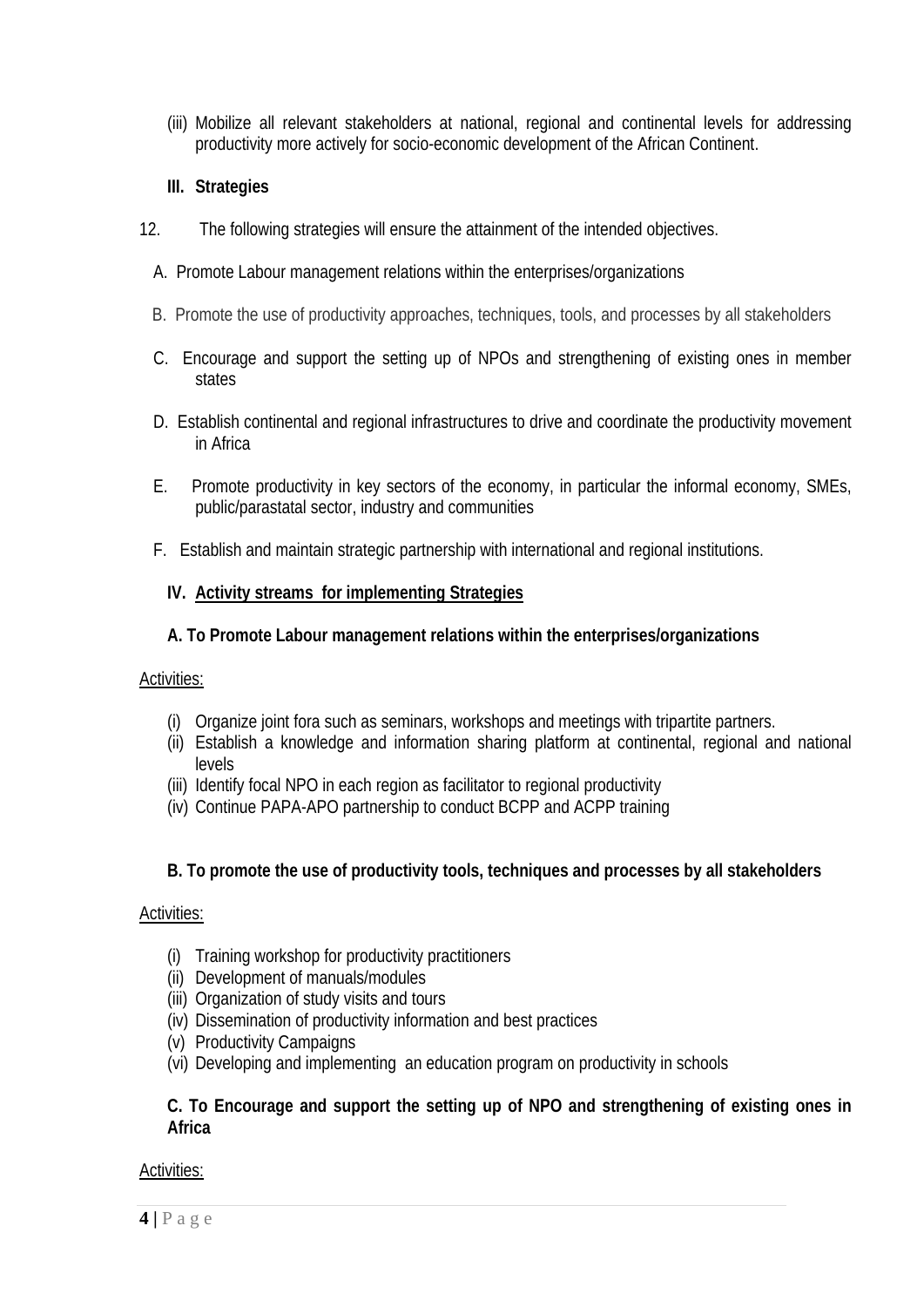(iii) Mobilize all relevant stakeholders at national, regional and continental levels for addressing productivity more actively for socio-economic development of the African Continent.

### **III. Strategies**

- 12. The following strategies will ensure the attainment of the intended objectives.
	- A. Promote Labour management relations within the enterprises/organizations
	- B. Promote the use of productivity approaches, techniques, tools, and processes by all stakeholders
	- C. Encourage and support the setting up of NPOs and strengthening of existing ones in member states
	- D. Establish continental and regional infrastructures to drive and coordinate the productivity movement in Africa
	- E. Promote productivity in key sectors of the economy, in particular the informal economy, SMEs, public/parastatal sector, industry and communities
	- F. Establish and maintain strategic partnership with international and regional institutions.

### **IV. Activity streams for implementing Strategies**

### **A. To Promote Labour management relations within the enterprises/organizations**

#### Activities:

- (i) Organize joint fora such as seminars, workshops and meetings with tripartite partners.
- (ii) Establish a knowledge and information sharing platform at continental, regional and national levels
- (iii) Identify focal NPO in each region as facilitator to regional productivity
- (iv) Continue PAPA-APO partnership to conduct BCPP and ACPP training

# **B. To promote the use of productivity tools, techniques and processes by all stakeholders**

#### Activities:

- (i) Training workshop for productivity practitioners
- (ii) Development of manuals/modules
- (iii) Organization of study visits and tours
- (iv) Dissemination of productivity information and best practices
- (v) Productivity Campaigns
- (vi) Developing and implementing an education program on productivity in schools

#### **C. To Encourage and support the setting up of NPO and strengthening of existing ones in Africa**

#### Activities: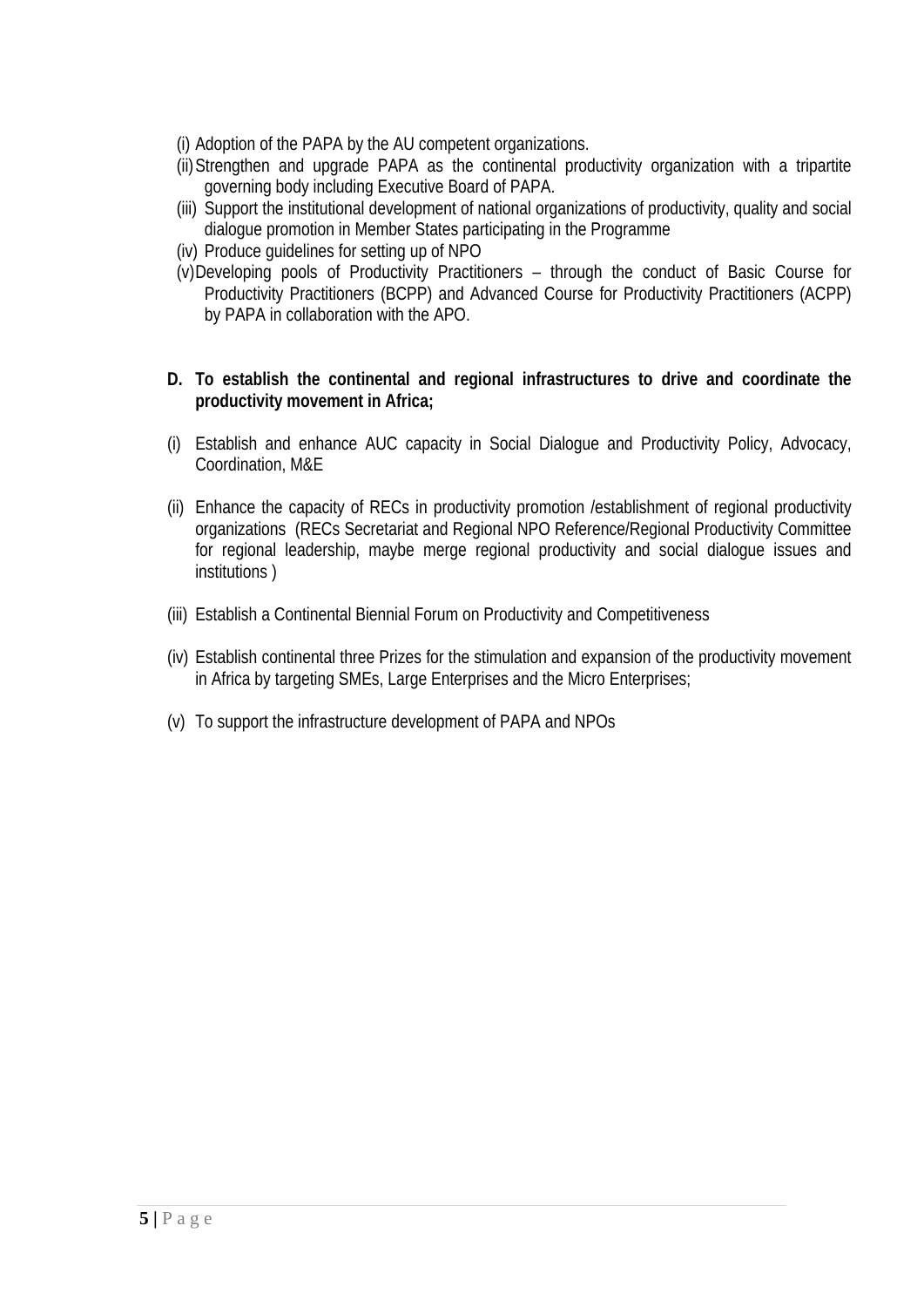(i) Adoption of the PAPA by the AU competent organizations.

- (ii)Strengthen and upgrade PAPA as the continental productivity organization with a tripartite governing body including Executive Board of PAPA.
- (iii) Support the institutional development of national organizations of productivity, quality and social dialogue promotion in Member States participating in the Programme
- (iv) Produce guidelines for setting up of NPO
- (v)Developing pools of Productivity Practitioners through the conduct of Basic Course for Productivity Practitioners (BCPP) and Advanced Course for Productivity Practitioners (ACPP) by PAPA in collaboration with the APO.
- **D. To establish the continental and regional infrastructures to drive and coordinate the productivity movement in Africa;**
- (i) Establish and enhance AUC capacity in Social Dialogue and Productivity Policy, Advocacy, Coordination, M&E
- (ii) Enhance the capacity of RECs in productivity promotion /establishment of regional productivity organizations (RECs Secretariat and Regional NPO Reference/Regional Productivity Committee for regional leadership, maybe merge regional productivity and social dialogue issues and institutions )
- (iii) Establish a Continental Biennial Forum on Productivity and Competitiveness
- (iv) Establish continental three Prizes for the stimulation and expansion of the productivity movement in Africa by targeting SMEs, Large Enterprises and the Micro Enterprises;
- (v) To support the infrastructure development of PAPA and NPOs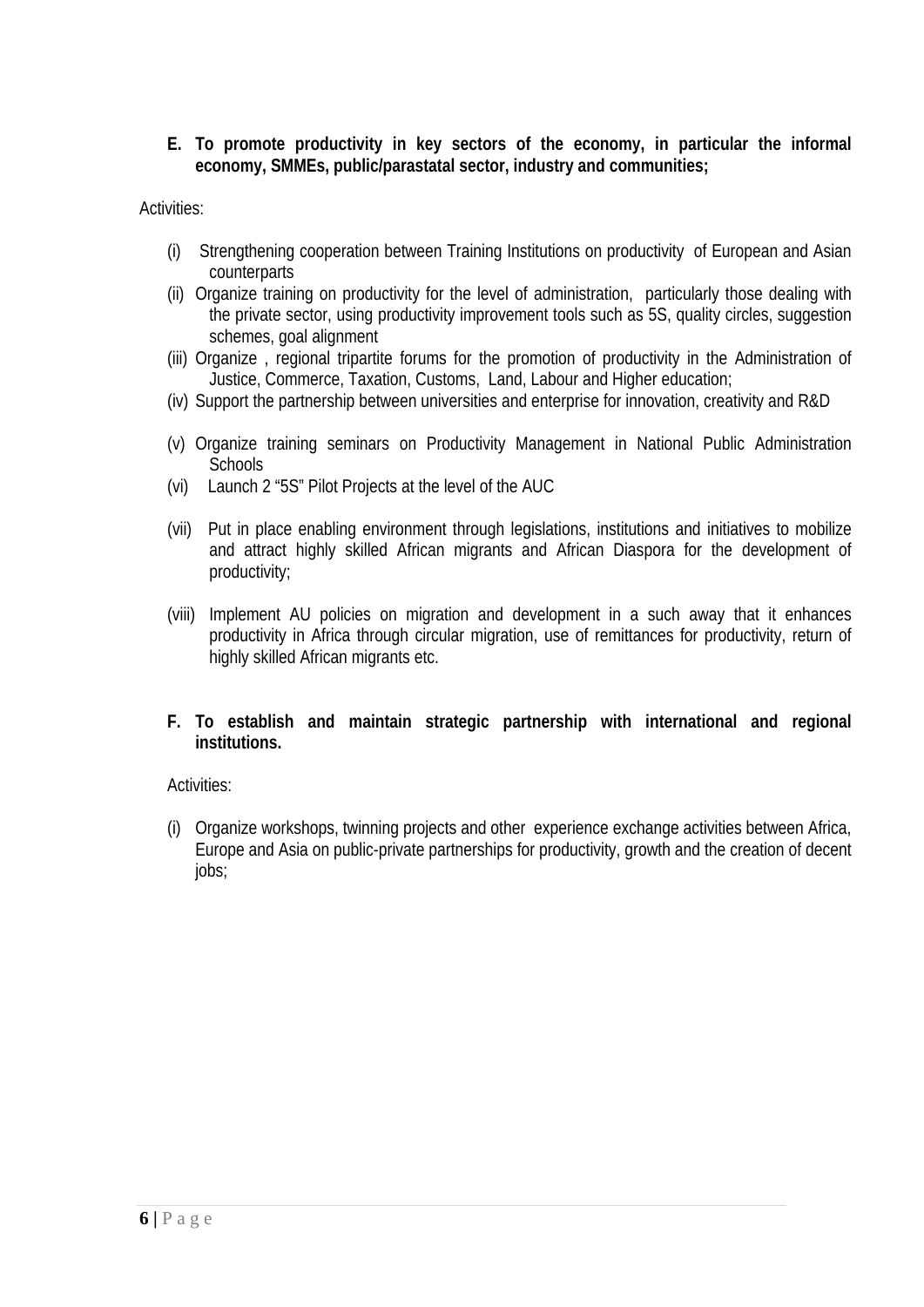**E. To promote productivity in key sectors of the economy, in particular the informal economy, SMMEs, public/parastatal sector, industry and communities;** 

Activities:

- (i) Strengthening cooperation between Training Institutions on productivity of European and Asian counterparts
- (ii) Organize training on productivity for the level of administration, particularly those dealing with the private sector, using productivity improvement tools such as 5S, quality circles, suggestion schemes, goal alignment
- (iii) Organize , regional tripartite forums for the promotion of productivity in the Administration of Justice, Commerce, Taxation, Customs, Land, Labour and Higher education;
- (iv) Support the partnership between universities and enterprise for innovation, creativity and R&D
- (v) Organize training seminars on Productivity Management in National Public Administration **Schools**
- (vi) Launch 2 "5S" Pilot Projects at the level of the AUC
- (vii) Put in place enabling environment through legislations, institutions and initiatives to mobilize and attract highly skilled African migrants and African Diaspora for the development of productivity;
- (viii) Implement AU policies on migration and development in a such away that it enhances productivity in Africa through circular migration, use of remittances for productivity, return of highly skilled African migrants etc.
- **F. To establish and maintain strategic partnership with international and regional institutions.**

# Activities:

(i) Organize workshops, twinning projects and other experience exchange activities between Africa, Europe and Asia on public-private partnerships for productivity, growth and the creation of decent jobs;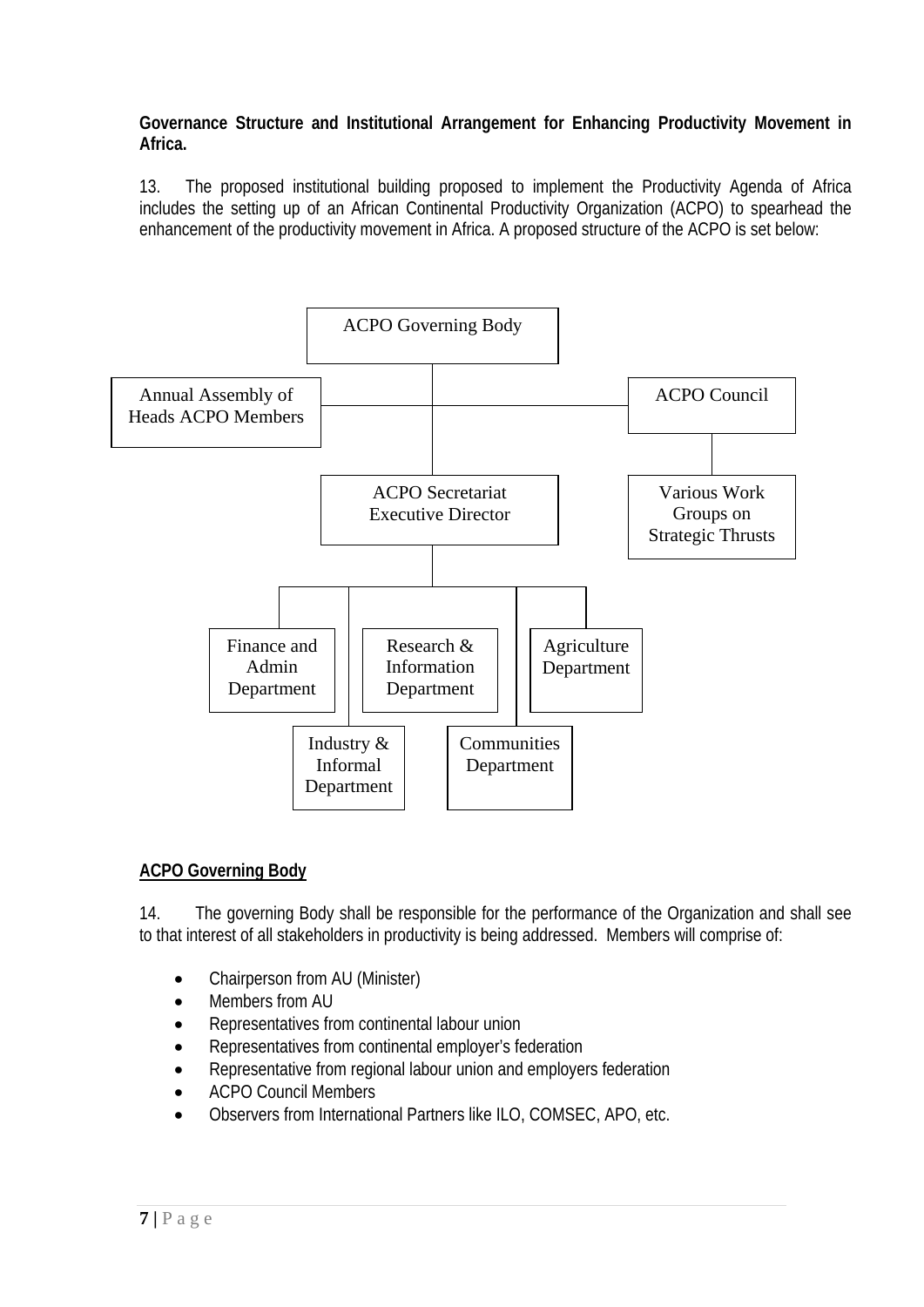**Governance Structure and Institutional Arrangement for Enhancing Productivity Movement in Africa.** 

13. The proposed institutional building proposed to implement the Productivity Agenda of Africa includes the setting up of an African Continental Productivity Organization (ACPO) to spearhead the enhancement of the productivity movement in Africa. A proposed structure of the ACPO is set below:



# **ACPO Governing Body**

14. The governing Body shall be responsible for the performance of the Organization and shall see to that interest of all stakeholders in productivity is being addressed. Members will comprise of:

- Chairperson from AU (Minister)
- Members from AU
- Representatives from continental labour union
- Representatives from continental employer's federation
- Representative from regional labour union and employers federation
- ACPO Council Members
- Observers from International Partners like ILO, COMSEC, APO, etc.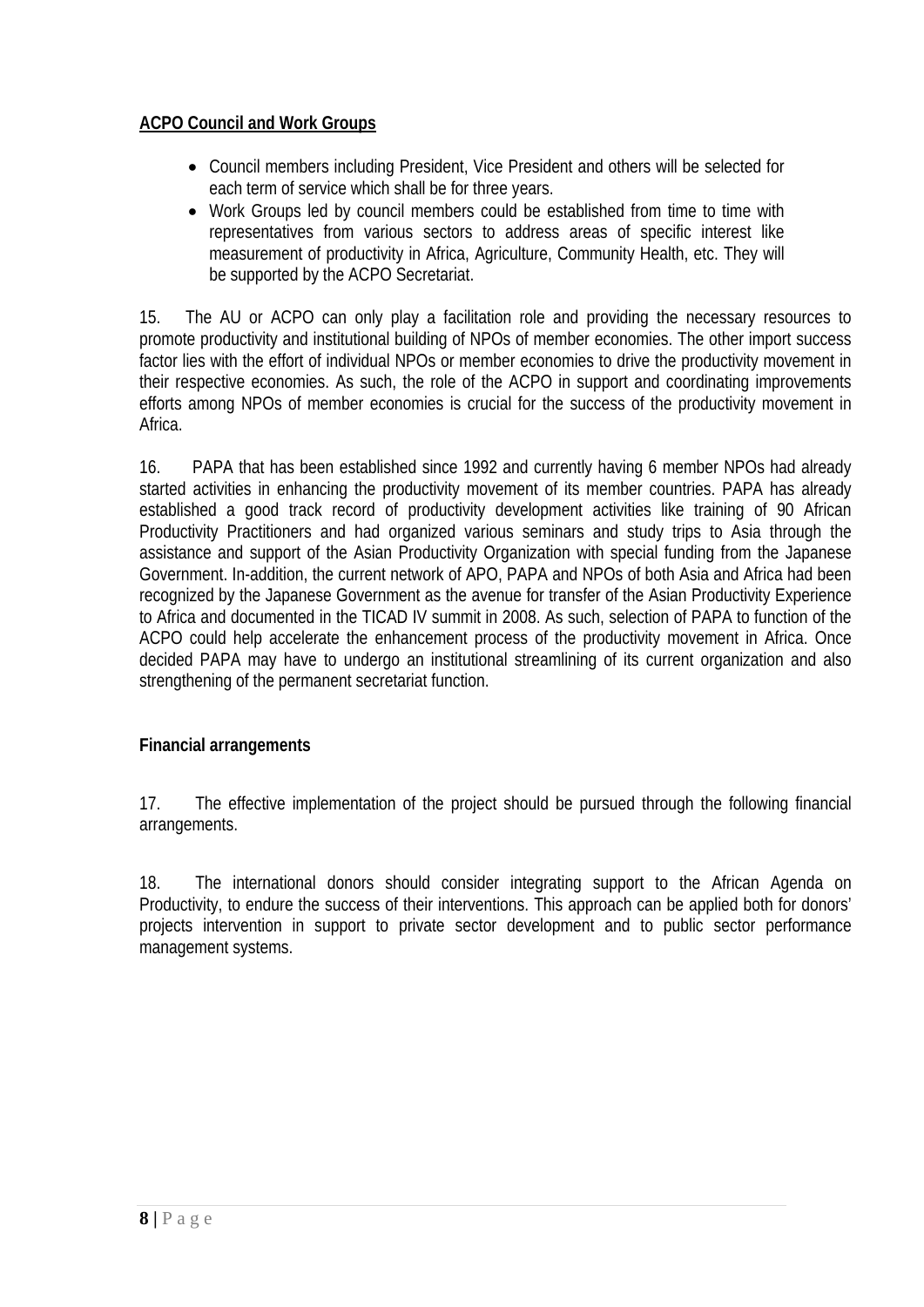# **ACPO Council and Work Groups**

- Council members including President, Vice President and others will be selected for each term of service which shall be for three years.
- Work Groups led by council members could be established from time to time with representatives from various sectors to address areas of specific interest like measurement of productivity in Africa, Agriculture, Community Health, etc. They will be supported by the ACPO Secretariat.

15. The AU or ACPO can only play a facilitation role and providing the necessary resources to promote productivity and institutional building of NPOs of member economies. The other import success factor lies with the effort of individual NPOs or member economies to drive the productivity movement in their respective economies. As such, the role of the ACPO in support and coordinating improvements efforts among NPOs of member economies is crucial for the success of the productivity movement in Africa.

16. PAPA that has been established since 1992 and currently having 6 member NPOs had already started activities in enhancing the productivity movement of its member countries. PAPA has already established a good track record of productivity development activities like training of 90 African Productivity Practitioners and had organized various seminars and study trips to Asia through the assistance and support of the Asian Productivity Organization with special funding from the Japanese Government. In-addition, the current network of APO, PAPA and NPOs of both Asia and Africa had been recognized by the Japanese Government as the avenue for transfer of the Asian Productivity Experience to Africa and documented in the TICAD IV summit in 2008. As such, selection of PAPA to function of the ACPO could help accelerate the enhancement process of the productivity movement in Africa. Once decided PAPA may have to undergo an institutional streamlining of its current organization and also strengthening of the permanent secretariat function.

# **Financial arrangements**

17. The effective implementation of the project should be pursued through the following financial arrangements.

18. The international donors should consider integrating support to the African Agenda on Productivity, to endure the success of their interventions. This approach can be applied both for donors' projects intervention in support to private sector development and to public sector performance management systems.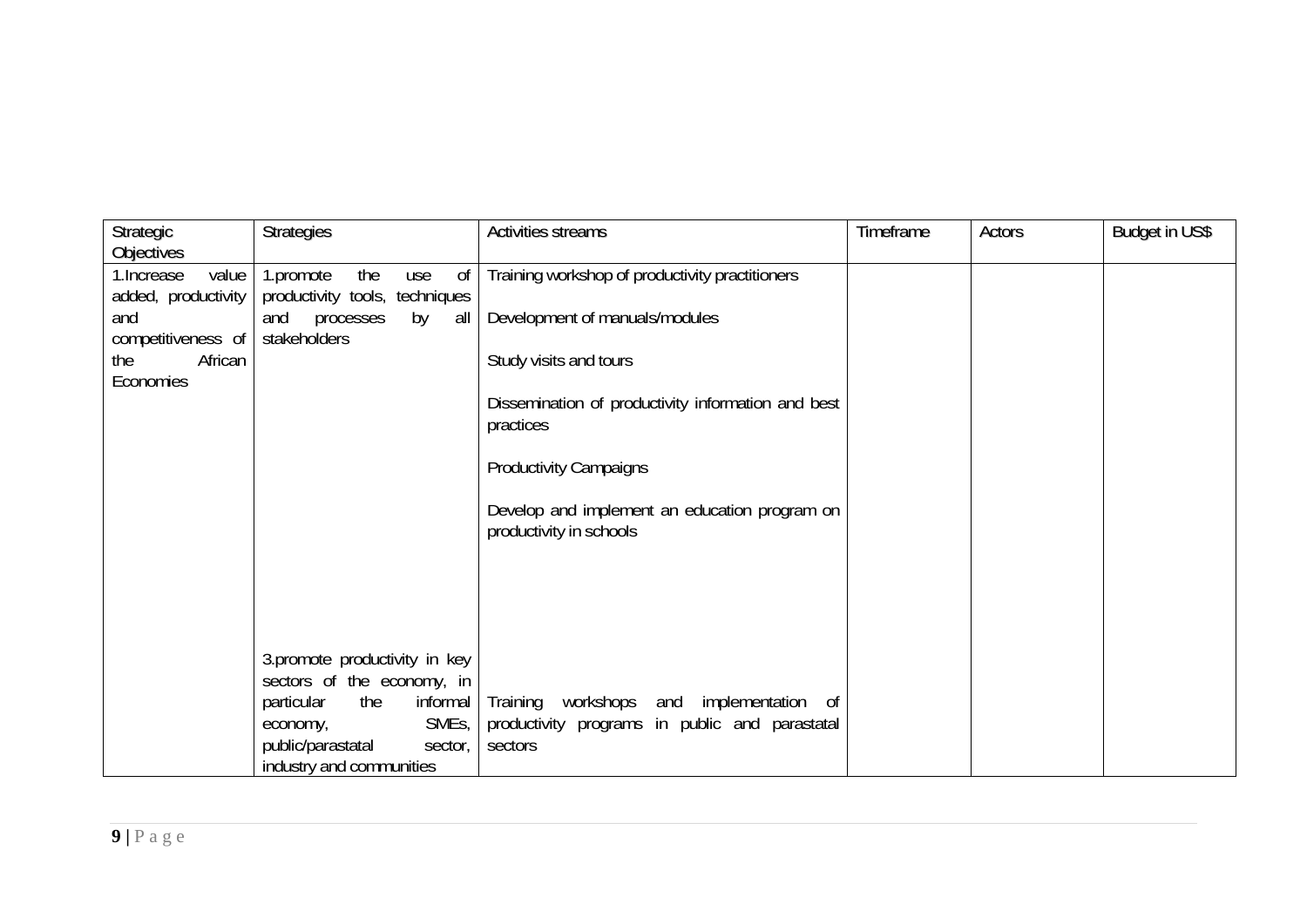| Strategic<br><b>Objectives</b>                                           | <b>Strategies</b>                                                                                                | <b>Activities streams</b>                                                                                | Timeframe | Actors | <b>Budget in US\$</b> |
|--------------------------------------------------------------------------|------------------------------------------------------------------------------------------------------------------|----------------------------------------------------------------------------------------------------------|-----------|--------|-----------------------|
| 1. Increase<br>value<br>added, productivity<br>and<br>competitiveness of | the<br>0f<br>1.promote<br>use<br>productivity tools, techniques<br>processes<br>and<br>by<br>all<br>stakeholders | Training workshop of productivity practitioners                                                          |           |        |                       |
|                                                                          |                                                                                                                  | Development of manuals/modules                                                                           |           |        |                       |
| African<br>the<br>Economies                                              |                                                                                                                  | Study visits and tours                                                                                   |           |        |                       |
|                                                                          |                                                                                                                  | Dissemination of productivity information and best<br>practices                                          |           |        |                       |
|                                                                          |                                                                                                                  | <b>Productivity Campaigns</b>                                                                            |           |        |                       |
|                                                                          |                                                                                                                  | Develop and implement an education program on<br>productivity in schools                                 |           |        |                       |
|                                                                          |                                                                                                                  |                                                                                                          |           |        |                       |
|                                                                          |                                                                                                                  |                                                                                                          |           |        |                       |
|                                                                          | 3.promote productivity in key<br>sectors of the economy, in                                                      |                                                                                                          |           |        |                       |
|                                                                          | the<br>particular<br>informal<br>SME <sub>s</sub> ,<br>economy,<br>public/parastatal                             | Training<br>workshops and implementation of<br>productivity programs in public and parastatal<br>sectors |           |        |                       |
|                                                                          | sector,<br>industry and communities                                                                              |                                                                                                          |           |        |                       |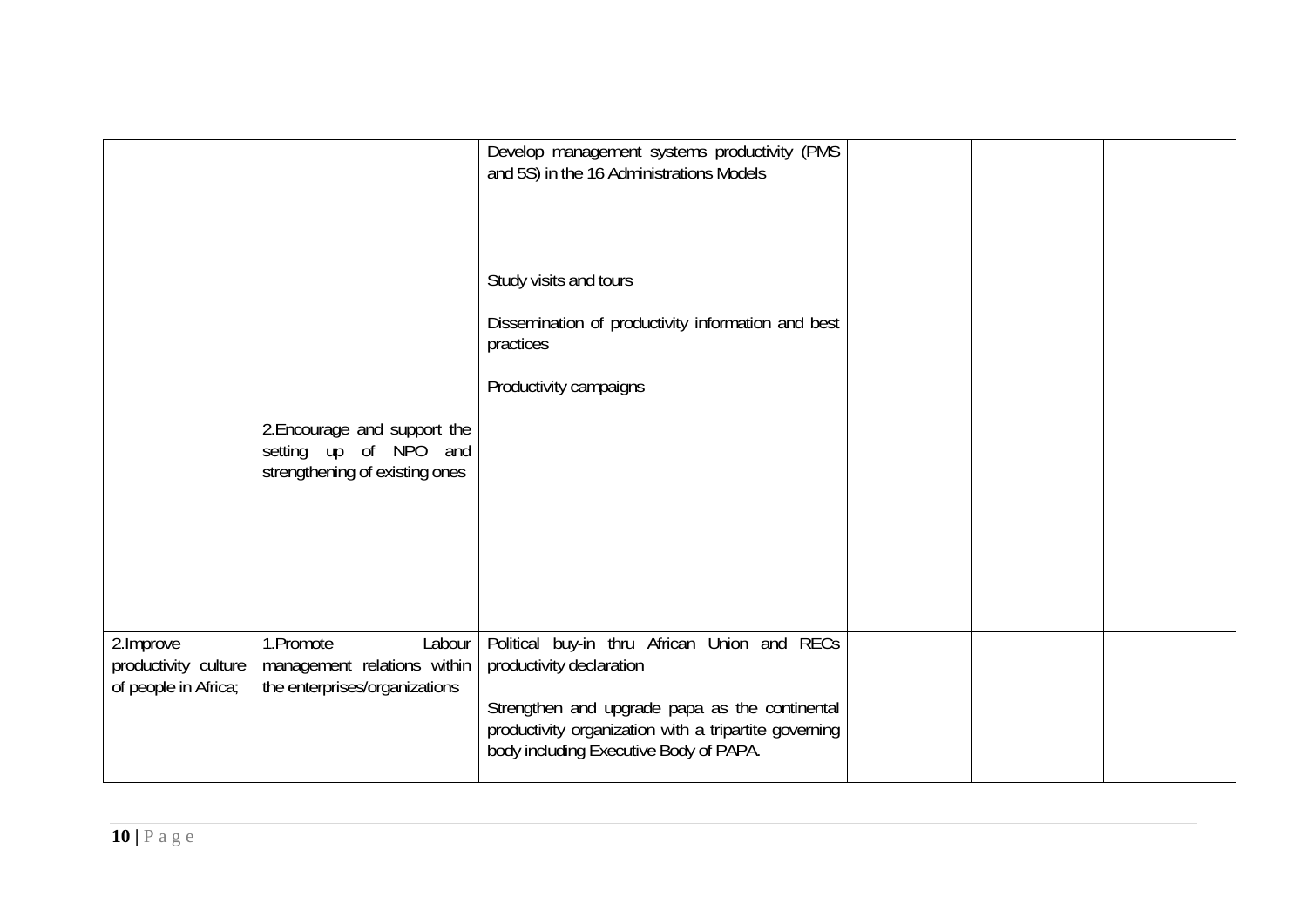|                                                           | 2. Encourage and support the<br>setting up of NPO and<br>strengthening of existing ones | Develop management systems productivity (PMS<br>and 5S) in the 16 Administrations Models<br>Study visits and tours<br>Dissemination of productivity information and best<br>practices<br>Productivity campaigns               |  |  |
|-----------------------------------------------------------|-----------------------------------------------------------------------------------------|-------------------------------------------------------------------------------------------------------------------------------------------------------------------------------------------------------------------------------|--|--|
| 2.Improve<br>productivity culture<br>of people in Africa; | 1.Promote<br>Labour<br>management relations within<br>the enterprises/organizations     | Political buy-in thru African Union and RECs<br>productivity declaration<br>Strengthen and upgrade papa as the continental<br>productivity organization with a tripartite governing<br>body including Executive Body of PAPA. |  |  |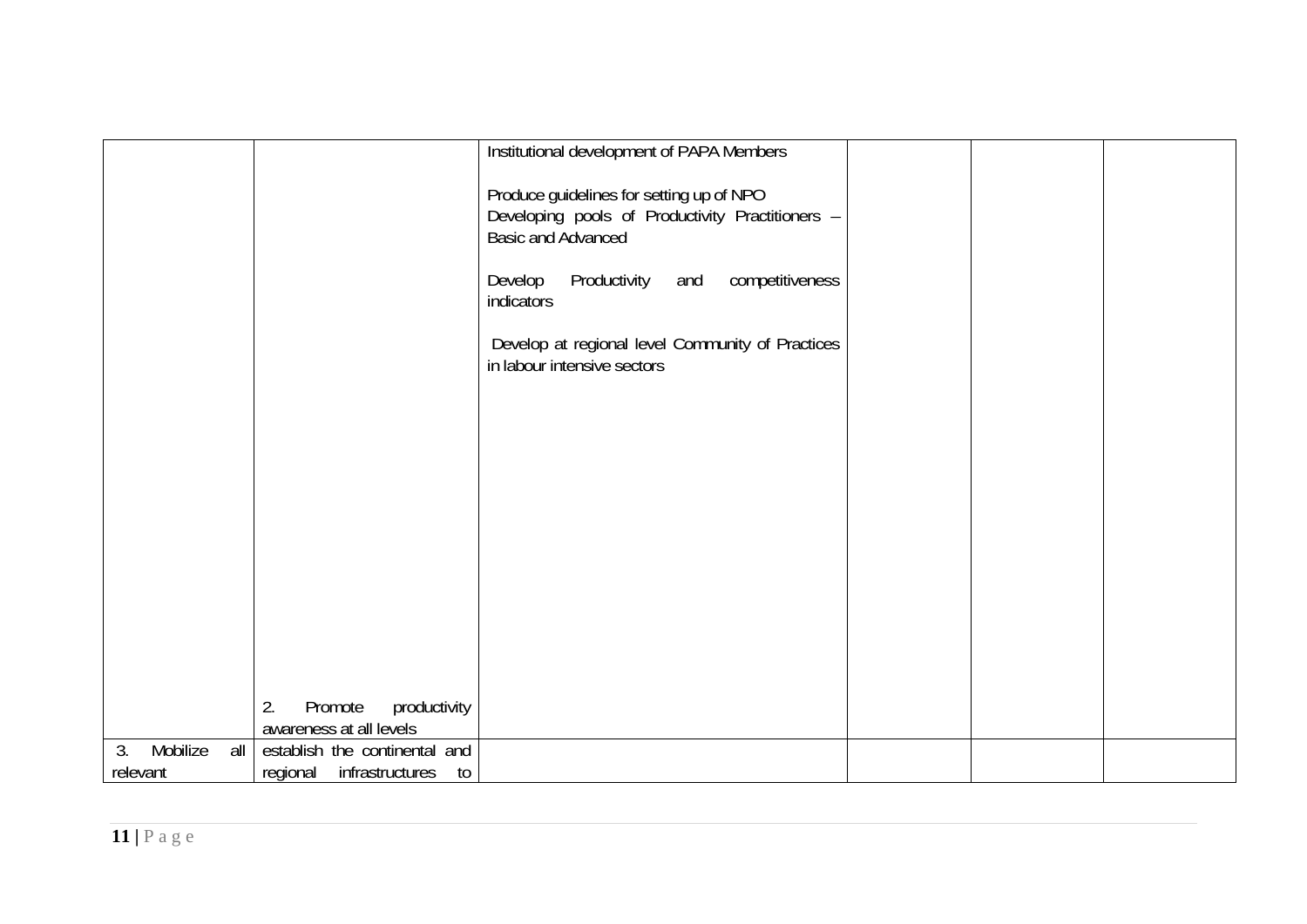|                       |                                                          | Institutional development of PAPA Members                                                                                 |  |
|-----------------------|----------------------------------------------------------|---------------------------------------------------------------------------------------------------------------------------|--|
|                       |                                                          |                                                                                                                           |  |
|                       |                                                          | Produce guidelines for setting up of NPO<br>Developing pools of Productivity Practitioners -<br><b>Basic and Advanced</b> |  |
|                       |                                                          | Productivity<br>and competitiveness<br>Develop<br>indicators                                                              |  |
|                       |                                                          | Develop at regional level Community of Practices<br>in labour intensive sectors                                           |  |
|                       |                                                          |                                                                                                                           |  |
|                       |                                                          |                                                                                                                           |  |
|                       |                                                          |                                                                                                                           |  |
|                       |                                                          |                                                                                                                           |  |
|                       |                                                          |                                                                                                                           |  |
|                       |                                                          |                                                                                                                           |  |
|                       |                                                          |                                                                                                                           |  |
|                       |                                                          |                                                                                                                           |  |
|                       |                                                          |                                                                                                                           |  |
|                       |                                                          |                                                                                                                           |  |
|                       |                                                          |                                                                                                                           |  |
|                       |                                                          |                                                                                                                           |  |
|                       |                                                          |                                                                                                                           |  |
|                       | 2.<br>Promote<br>productivity<br>awareness at all levels |                                                                                                                           |  |
| Mobilize<br>3.<br>all | establish the continental and                            |                                                                                                                           |  |
| relevant              | regional infrastructures<br>to                           |                                                                                                                           |  |
|                       |                                                          |                                                                                                                           |  |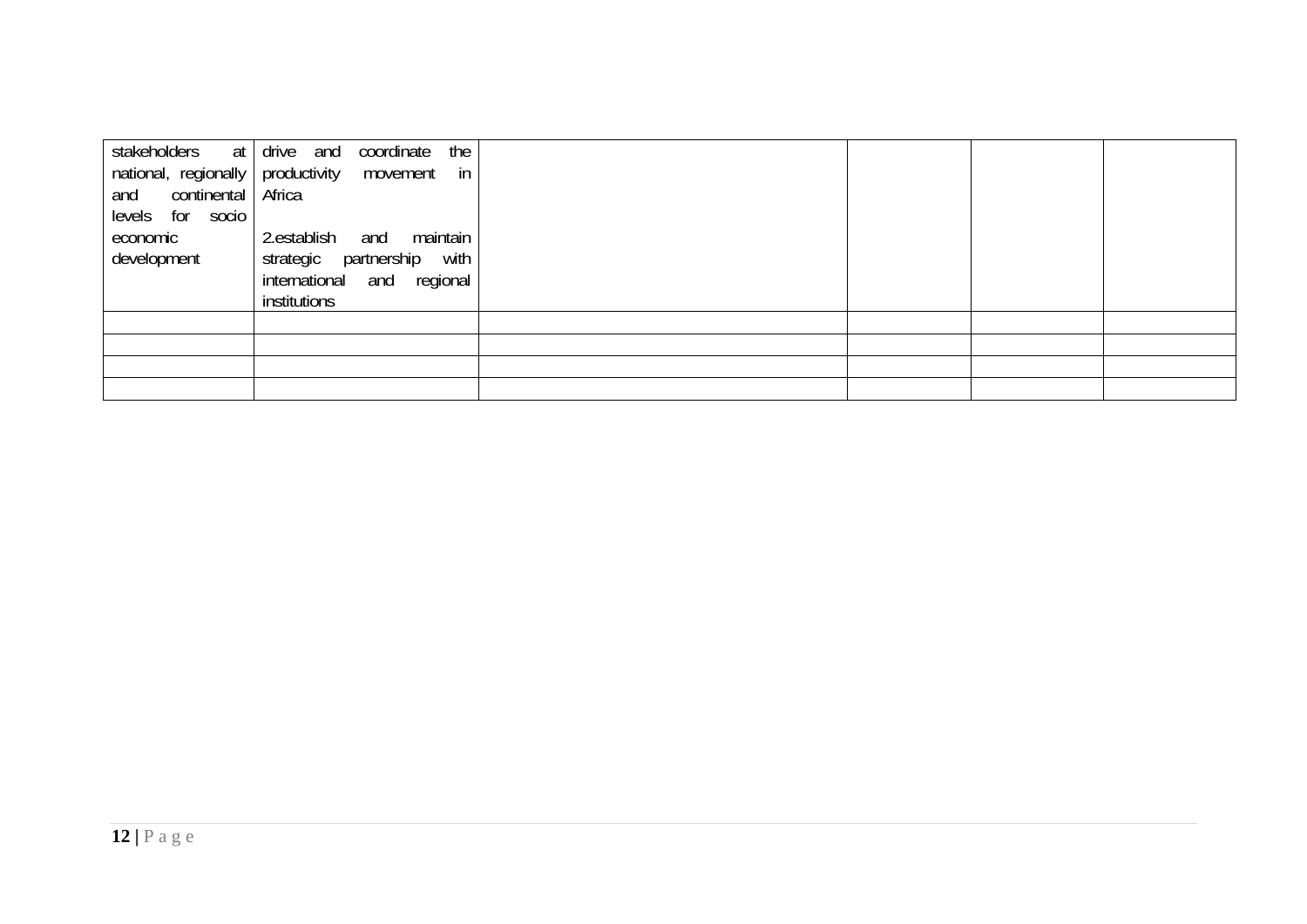| stakeholders<br>at<br>national, regionally<br>continental<br>and<br>levels for socio<br>economic<br>development | drive and<br>the<br>coordinate<br>productivity<br>in<br>movement<br>Africa<br>maintain<br>2.establish<br>and<br>strategic<br>partnership<br>with<br>international and regional |  |  |
|-----------------------------------------------------------------------------------------------------------------|--------------------------------------------------------------------------------------------------------------------------------------------------------------------------------|--|--|
|                                                                                                                 | institutions                                                                                                                                                                   |  |  |
|                                                                                                                 |                                                                                                                                                                                |  |  |
|                                                                                                                 |                                                                                                                                                                                |  |  |
|                                                                                                                 |                                                                                                                                                                                |  |  |
|                                                                                                                 |                                                                                                                                                                                |  |  |